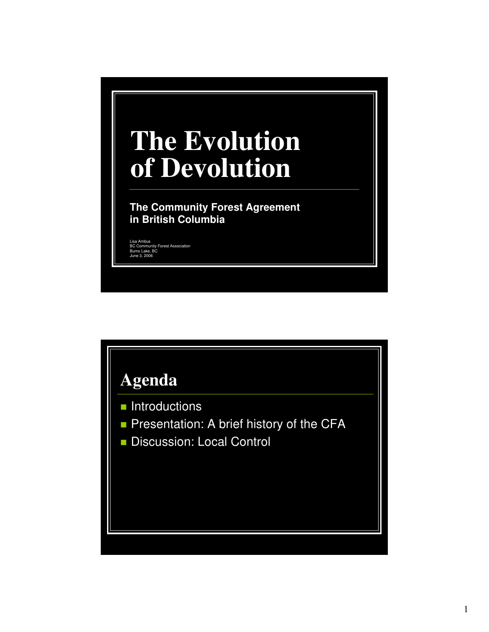## **The Evolution of Devolution**

**The Community Forest Agreement in British Columbia**

Lisa Ambus BC Community Forest Association Burns Lake, BC June 3, 2006

## **Agenda**

- **Introductions**
- Presentation: A brief history of the CFA
- Discussion: Local Control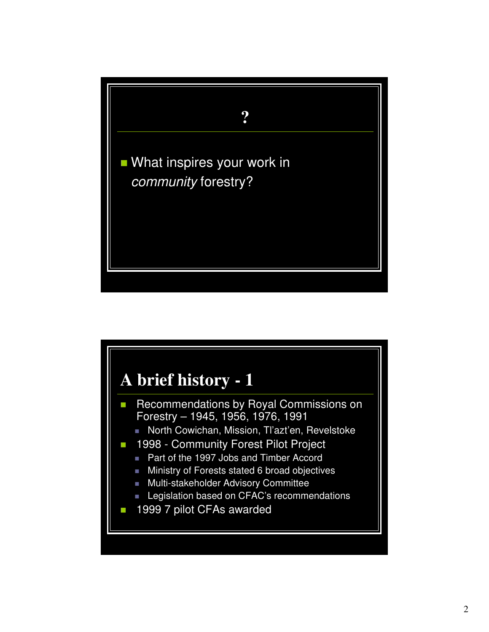

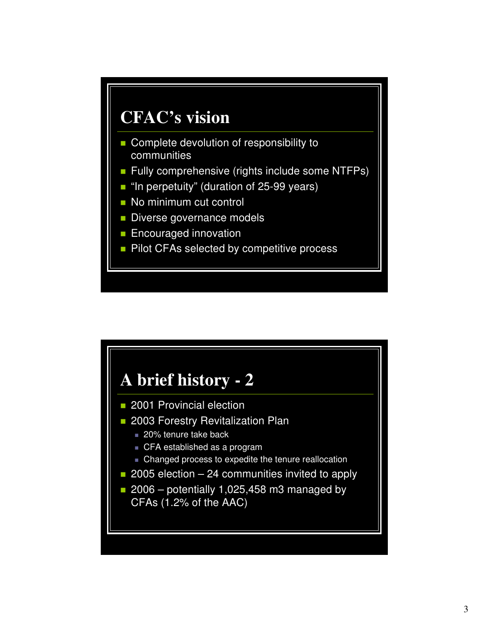

- Complete devolution of responsibility to communities
- **Fully comprehensive (rights include some NTFPs)**
- "In perpetuity" (duration of 25-99 years)
- No minimum cut control
- Diverse governance models
- **Encouraged innovation**
- **Pilot CFAs selected by competitive process**

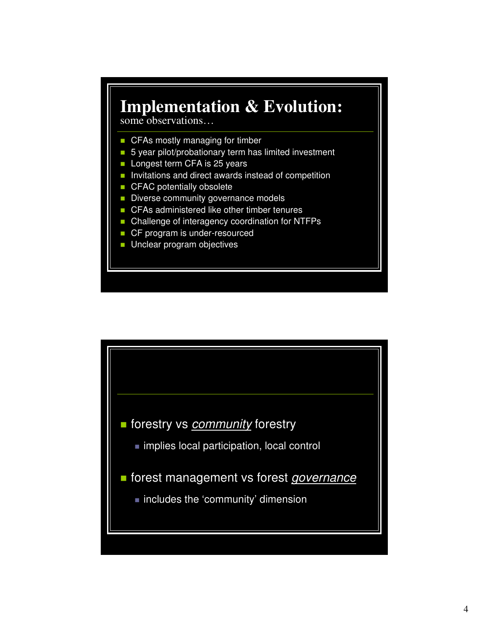## **Implementation & Evolution:**

some observations…

- CFAs mostly managing for timber
- 5 year pilot/probationary term has limited investment
- **Longest term CFA is 25 years**
- $\blacksquare$  Invitations and direct awards instead of competition
- **CFAC potentially obsolete**
- Diverse community governance models
- CFAs administered like other timber tenures
- Challenge of interagency coordination for NTFPs
- CF program is under-resourced
- **Unclear program objectives**

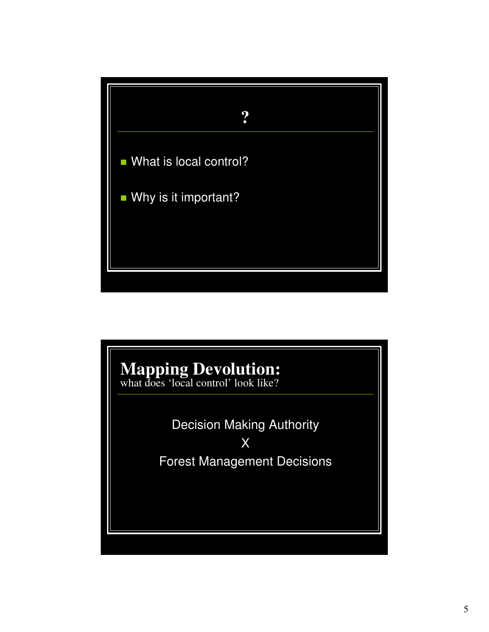